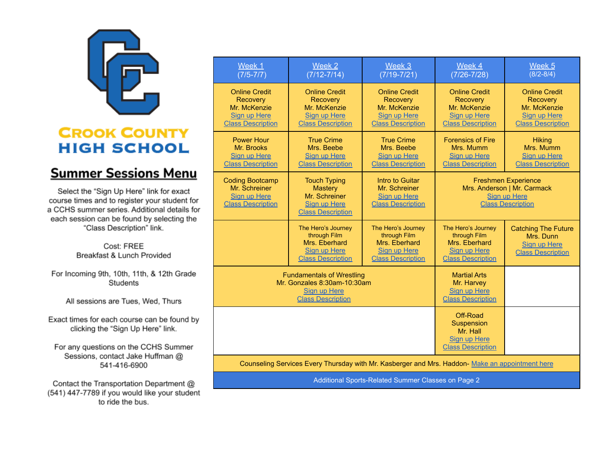

## **CROOK COUNTY HIGH SCHOOL**

## **Summer Sessions Menu**

Select the "Sign Up Here" link for exact course times and to register your student for a CCHS summer series. Additional details for each session can be found by selecting the "Class Description" link.

> Cost: FREE Breakfast & Lunch Provided

For Incoming 9th, 10th, 11th, & 12th Grade Students

All sessions are Tues, Wed, Thurs

Exact times for each course can be found by clicking the "Sign Up Here" link.

For any questions on the CCHS Summer Sessions, contact Jake Huffman @ 541-416-6900

Contact the Transportation Department @ (541) 447-7789 if you would like your student to ride the bus.

| Week 1<br>$(7/5 - 7/7)$                                                                                     | Week 2<br>$(7/12 - 7/14)$                                                                                 | Week 3<br>$(7/19 - 7/21)$                                                                              | Week 4<br>$(7/26 - 7/28)$                                                                                    | Week <sub>5</sub><br>$(8/2 - 8/4)$                                                                  |
|-------------------------------------------------------------------------------------------------------------|-----------------------------------------------------------------------------------------------------------|--------------------------------------------------------------------------------------------------------|--------------------------------------------------------------------------------------------------------------|-----------------------------------------------------------------------------------------------------|
| <b>Online Credit</b><br><b>Recovery</b><br>Mr. McKenzie<br>Sign up Here<br><b>Class Description</b>         | <b>Online Credit</b><br><b>Recovery</b><br>Mr. McKenzie<br>Sign up Here<br><b>Class Description</b>       | <b>Online Credit</b><br><b>Recovery</b><br>Mr. McKenzie<br>Sign up Here<br><b>Class Description</b>    | <b>Online Credit</b><br><b>Recovery</b><br>Mr. McKenzie<br>Sign up Here<br><b>Class Description</b>          | <b>Online Credit</b><br><b>Recovery</b><br>Mr. McKenzie<br>Sign up Here<br><b>Class Description</b> |
| <b>Power Hour</b><br>Mr. Brooks<br>Sign up Here<br><b>Class Description</b>                                 | <b>True Crime</b><br>Mrs. Beebe<br><b>Sign up Here</b><br><b>Class Description</b>                        | <b>True Crime</b><br>Mrs. Beebe<br><b>Sign up Here</b><br><b>Class Description</b>                     | <b>Forensics of Fire</b><br>Mrs. Mumm<br>Sign up Here<br><b>Class Description</b>                            | <b>Hiking</b><br>Mrs. Mumm<br>Sign up Here<br><b>Class Description</b>                              |
| <b>Coding Bootcamp</b><br>Mr. Schreiner<br>Sign up Here<br><b>Class Description</b>                         | <b>Touch Typing</b><br><b>Mastery</b><br>Mr. Schreiner<br><b>Sign up Here</b><br><b>Class Description</b> | Intro to Guitar<br>Mr. Schreiner<br>Sign up Here<br><b>Class Description</b>                           | <b>Freshmen Experience</b><br>Mrs. Anderson   Mr. Carmack<br><b>Sign up Here</b><br><b>Class Description</b> |                                                                                                     |
|                                                                                                             | The Hero's Journey<br>through Film<br>Mrs. Eberhard<br><b>Sign up Here</b><br><b>Class Description</b>    | The Hero's Journey<br>through Film<br>Mrs. Eberhard<br><b>Sign up Here</b><br><b>Class Description</b> | The Hero's Journey<br>through Film<br>Mrs. Eberhard<br><b>Sign up Here</b><br><b>Class Description</b>       | <b>Catching The Future</b><br>Mrs. Dunn<br>Sian up Here<br><b>Class Description</b>                 |
| <b>Fundamentals of Wrestling</b><br>Mr. Gonzales 8:30am-10:30am<br>Sign up Here<br><b>Class Description</b> |                                                                                                           |                                                                                                        | <b>Martial Arts</b><br>Mr. Harvey<br><b>Sign up Here</b><br><b>Class Description</b>                         |                                                                                                     |
|                                                                                                             |                                                                                                           |                                                                                                        | Off-Road<br>Suspension<br>Mr. Hall<br>Sign up Here<br><b>Class Description</b>                               |                                                                                                     |
| Counseling Services Every Thursday with Mr. Kasberger and Mrs. Haddon- Make an appointment here             |                                                                                                           |                                                                                                        |                                                                                                              |                                                                                                     |

Additional Sports-Related Summer Classes on Page 2